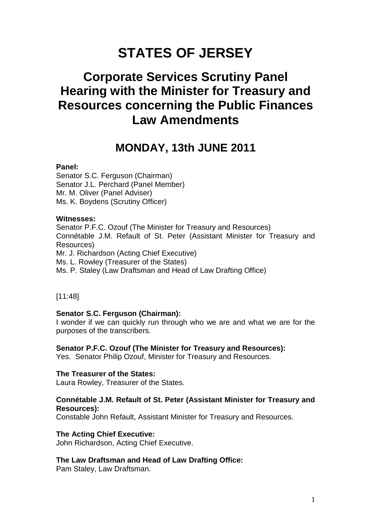# **STATES OF JERSEY**

## **Corporate Services Scrutiny Panel Hearing with the Minister for Treasury and Resources concerning the Public Finances Law Amendments**

## **MONDAY, 13th JUNE 2011**

## **Panel:**

Senator S.C. Ferguson (Chairman) Senator J.L. Perchard (Panel Member) Mr. M. Oliver (Panel Adviser) Ms. K. Boydens (Scrutiny Officer)

## **Witnesses:**

Senator P.F.C. Ozouf (The Minister for Treasury and Resources) Connétable J.M. Refault of St. Peter (Assistant Minister for Treasury and Resources) Mr. J. Richardson (Acting Chief Executive) Ms. L. Rowley (Treasurer of the States) Ms. P. Staley (Law Draftsman and Head of Law Drafting Office)

[11:48]

## **Senator S.C. Ferguson (Chairman):**

I wonder if we can quickly run through who we are and what we are for the purposes of the transcribers.

## **Senator P.F.C. Ozouf (The Minister for Treasury and Resources):**

Yes. Senator Philip Ozouf, Minister for Treasury and Resources.

#### **The Treasurer of the States:**

Laura Rowley, Treasurer of the States.

## **Connétable J.M. Refault of St. Peter (Assistant Minister for Treasury and Resources):**

Constable John Refault, Assistant Minister for Treasury and Resources.

## **The Acting Chief Executive:**

John Richardson, Acting Chief Executive.

## **The Law Draftsman and Head of Law Drafting Office:**

Pam Staley, Law Draftsman.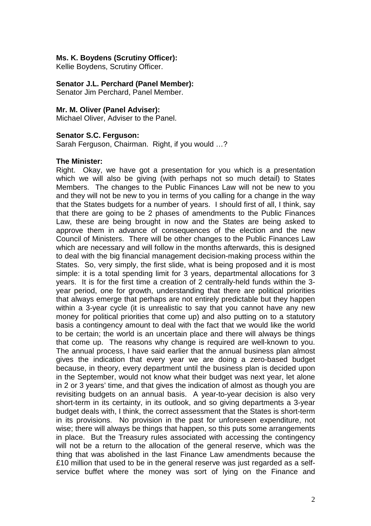## **Ms. K. Boydens (Scrutiny Officer):**

Kellie Boydens, Scrutiny Officer.

## **Senator J.L. Perchard (Panel Member):**

Senator Jim Perchard, Panel Member.

#### **Mr. M. Oliver (Panel Adviser):**

Michael Oliver, Adviser to the Panel.

## **Senator S.C. Ferguson:**

Sarah Ferguson, Chairman. Right, if you would …?

#### **The Minister:**

Right. Okay, we have got a presentation for you which is a presentation which we will also be giving (with perhaps not so much detail) to States Members. The changes to the Public Finances Law will not be new to you and they will not be new to you in terms of you calling for a change in the way that the States budgets for a number of years. I should first of all, I think, say that there are going to be 2 phases of amendments to the Public Finances Law, these are being brought in now and the States are being asked to approve them in advance of consequences of the election and the new Council of Ministers. There will be other changes to the Public Finances Law which are necessary and will follow in the months afterwards, this is designed to deal with the big financial management decision-making process within the States. So, very simply, the first slide, what is being proposed and it is most simple: it is a total spending limit for 3 years, departmental allocations for 3 years. It is for the first time a creation of 2 centrally-held funds within the 3 year period, one for growth, understanding that there are political priorities that always emerge that perhaps are not entirely predictable but they happen within a 3-year cycle (it is unrealistic to say that you cannot have any new money for political priorities that come up) and also putting on to a statutory basis a contingency amount to deal with the fact that we would like the world to be certain; the world is an uncertain place and there will always be things that come up. The reasons why change is required are well-known to you. The annual process, I have said earlier that the annual business plan almost gives the indication that every year we are doing a zero-based budget because, in theory, every department until the business plan is decided upon in the September, would not know what their budget was next year, let alone in 2 or 3 years' time, and that gives the indication of almost as though you are revisiting budgets on an annual basis. A year-to-year decision is also very short-term in its certainty, in its outlook, and so giving departments a 3-year budget deals with, I think, the correct assessment that the States is short-term in its provisions. No provision in the past for unforeseen expenditure, not wise; there will always be things that happen, so this puts some arrangements in place. But the Treasury rules associated with accessing the contingency will not be a return to the allocation of the general reserve, which was the thing that was abolished in the last Finance Law amendments because the £10 million that used to be in the general reserve was just regarded as a selfservice buffet where the money was sort of lying on the Finance and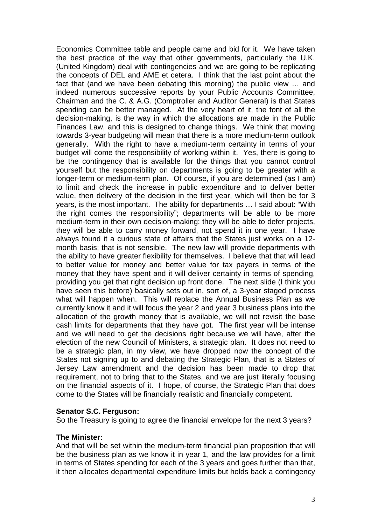Economics Committee table and people came and bid for it. We have taken the best practice of the way that other governments, particularly the U.K. (United Kingdom) deal with contingencies and we are going to be replicating the concepts of DEL and AME et cetera. I think that the last point about the fact that (and we have been debating this morning) the public view … and indeed numerous successive reports by your Public Accounts Committee, Chairman and the C. & A.G. (Comptroller and Auditor General) is that States spending can be better managed. At the very heart of it, the font of all the decision-making, is the way in which the allocations are made in the Public Finances Law, and this is designed to change things. We think that moving towards 3-year budgeting will mean that there is a more medium-term outlook generally. With the right to have a medium-term certainty in terms of your budget will come the responsibility of working within it. Yes, there is going to be the contingency that is available for the things that you cannot control yourself but the responsibility on departments is going to be greater with a longer-term or medium-term plan. Of course, if you are determined (as I am) to limit and check the increase in public expenditure and to deliver better value, then delivery of the decision in the first year, which will then be for 3 years, is the most important. The ability for departments … I said about: "With the right comes the responsibility"; departments will be able to be more medium-term in their own decision-making: they will be able to defer projects, they will be able to carry money forward, not spend it in one year. I have always found it a curious state of affairs that the States just works on a 12 month basis; that is not sensible. The new law will provide departments with the ability to have greater flexibility for themselves. I believe that that will lead to better value for money and better value for tax payers in terms of the money that they have spent and it will deliver certainty in terms of spending, providing you get that right decision up front done. The next slide (I think you have seen this before) basically sets out in, sort of, a 3-year staged process what will happen when. This will replace the Annual Business Plan as we currently know it and it will focus the year 2 and year 3 business plans into the allocation of the growth money that is available, we will not revisit the base cash limits for departments that they have got. The first year will be intense and we will need to get the decisions right because we will have, after the election of the new Council of Ministers, a strategic plan. It does not need to be a strategic plan, in my view, we have dropped now the concept of the States not signing up to and debating the Strategic Plan, that is a States of Jersey Law amendment and the decision has been made to drop that requirement, not to bring that to the States, and we are just literally focusing on the financial aspects of it. I hope, of course, the Strategic Plan that does come to the States will be financially realistic and financially competent.

#### **Senator S.C. Ferguson:**

So the Treasury is going to agree the financial envelope for the next 3 years?

#### **The Minister:**

And that will be set within the medium-term financial plan proposition that will be the business plan as we know it in year 1, and the law provides for a limit in terms of States spending for each of the 3 years and goes further than that, it then allocates departmental expenditure limits but holds back a contingency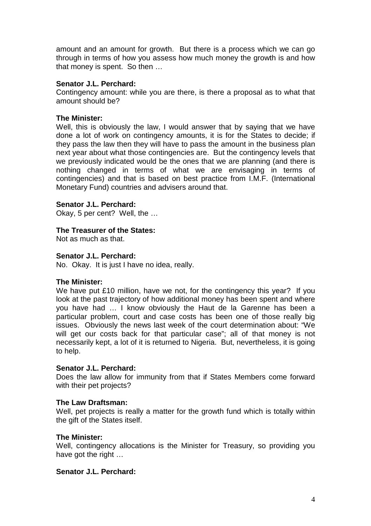amount and an amount for growth. But there is a process which we can go through in terms of how you assess how much money the growth is and how that money is spent. So then …

## **Senator J.L. Perchard:**

Contingency amount: while you are there, is there a proposal as to what that amount should be?

## **The Minister:**

Well, this is obviously the law. I would answer that by saving that we have done a lot of work on contingency amounts, it is for the States to decide; if they pass the law then they will have to pass the amount in the business plan next year about what those contingencies are. But the contingency levels that we previously indicated would be the ones that we are planning (and there is nothing changed in terms of what we are envisaging in terms of contingencies) and that is based on best practice from I.M.F. (International Monetary Fund) countries and advisers around that.

## **Senator J.L. Perchard:**

Okay, 5 per cent? Well, the …

## **The Treasurer of the States:**

Not as much as that.

#### **Senator J.L. Perchard:**

No. Okay. It is just I have no idea, really.

#### **The Minister:**

We have put £10 million, have we not, for the contingency this year? If you look at the past trajectory of how additional money has been spent and where you have had … I know obviously the Haut de la Garenne has been a particular problem, court and case costs has been one of those really big issues. Obviously the news last week of the court determination about: "We will get our costs back for that particular case"; all of that money is not necessarily kept, a lot of it is returned to Nigeria. But, nevertheless, it is going to help.

## **Senator J.L. Perchard:**

Does the law allow for immunity from that if States Members come forward with their pet projects?

#### **The Law Draftsman:**

Well, pet projects is really a matter for the growth fund which is totally within the gift of the States itself.

#### **The Minister:**

Well, contingency allocations is the Minister for Treasury, so providing you have got the right …

#### **Senator J.L. Perchard:**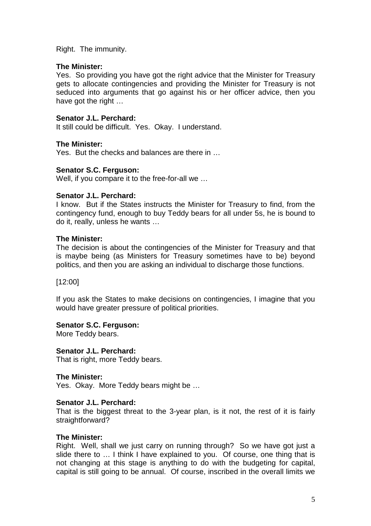Right. The immunity.

## **The Minister:**

Yes. So providing you have got the right advice that the Minister for Treasury gets to allocate contingencies and providing the Minister for Treasury is not seduced into arguments that go against his or her officer advice, then you have got the right …

## **Senator J.L. Perchard:**

It still could be difficult. Yes. Okay. I understand.

## **The Minister:**

Yes. But the checks and balances are there in …

## **Senator S.C. Ferguson:**

Well, if you compare it to the free-for-all we …

## **Senator J.L. Perchard:**

I know. But if the States instructs the Minister for Treasury to find, from the contingency fund, enough to buy Teddy bears for all under 5s, he is bound to do it, really, unless he wants …

## **The Minister:**

The decision is about the contingencies of the Minister for Treasury and that is maybe being (as Ministers for Treasury sometimes have to be) beyond politics, and then you are asking an individual to discharge those functions.

[12:00]

If you ask the States to make decisions on contingencies, I imagine that you would have greater pressure of political priorities.

#### **Senator S.C. Ferguson:**

More Teddy bears.

## **Senator J.L. Perchard:**

That is right, more Teddy bears.

#### **The Minister:**

Yes. Okay. More Teddy bears might be …

#### **Senator J.L. Perchard:**

That is the biggest threat to the 3-year plan, is it not, the rest of it is fairly straightforward?

#### **The Minister:**

Right. Well, shall we just carry on running through? So we have got just a slide there to … I think I have explained to you. Of course, one thing that is not changing at this stage is anything to do with the budgeting for capital, capital is still going to be annual. Of course, inscribed in the overall limits we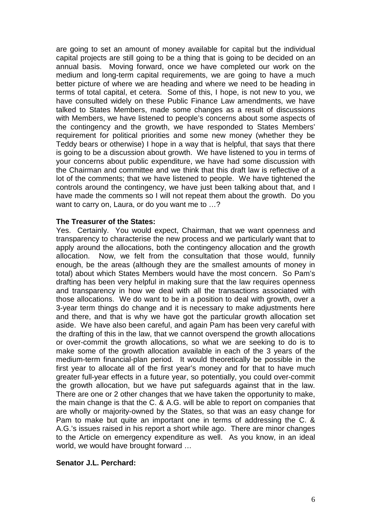are going to set an amount of money available for capital but the individual capital projects are still going to be a thing that is going to be decided on an annual basis. Moving forward, once we have completed our work on the medium and long-term capital requirements, we are going to have a much better picture of where we are heading and where we need to be heading in terms of total capital, et cetera. Some of this, I hope, is not new to you, we have consulted widely on these Public Finance Law amendments, we have talked to States Members, made some changes as a result of discussions with Members, we have listened to people's concerns about some aspects of the contingency and the growth, we have responded to States Members' requirement for political priorities and some new money (whether they be Teddy bears or otherwise) I hope in a way that is helpful, that says that there is going to be a discussion about growth. We have listened to you in terms of your concerns about public expenditure, we have had some discussion with the Chairman and committee and we think that this draft law is reflective of a lot of the comments; that we have listened to people. We have tightened the controls around the contingency, we have just been talking about that, and I have made the comments so I will not repeat them about the growth. Do you want to carry on, Laura, or do you want me to ...?

#### **The Treasurer of the States:**

Yes. Certainly. You would expect, Chairman, that we want openness and transparency to characterise the new process and we particularly want that to apply around the allocations, both the contingency allocation and the growth allocation. Now, we felt from the consultation that those would, funnily enough, be the areas (although they are the smallest amounts of money in total) about which States Members would have the most concern. So Pam's drafting has been very helpful in making sure that the law requires openness and transparency in how we deal with all the transactions associated with those allocations. We do want to be in a position to deal with growth, over a 3-year term things do change and it is necessary to make adjustments here and there, and that is why we have got the particular growth allocation set aside. We have also been careful, and again Pam has been very careful with the drafting of this in the law, that we cannot overspend the growth allocations or over-commit the growth allocations, so what we are seeking to do is to make some of the growth allocation available in each of the 3 years of the medium-term financial-plan period. It would theoretically be possible in the first year to allocate all of the first year's money and for that to have much greater full-year effects in a future year, so potentially, you could over-commit the growth allocation, but we have put safeguards against that in the law. There are one or 2 other changes that we have taken the opportunity to make, the main change is that the C. & A.G. will be able to report on companies that are wholly or majority-owned by the States, so that was an easy change for Pam to make but quite an important one in terms of addressing the C. & A.G.'s issues raised in his report a short while ago. There are minor changes to the Article on emergency expenditure as well. As you know, in an ideal world, we would have brought forward …

#### **Senator J.L. Perchard:**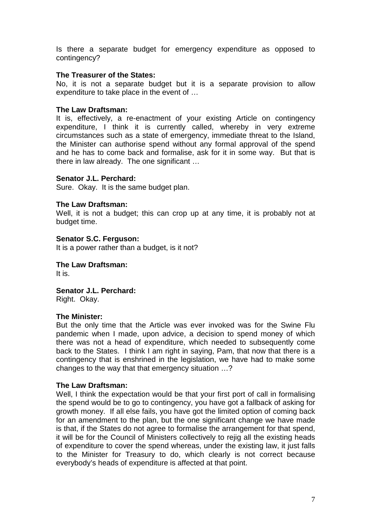Is there a separate budget for emergency expenditure as opposed to contingency?

## **The Treasurer of the States:**

No, it is not a separate budget but it is a separate provision to allow expenditure to take place in the event of …

## **The Law Draftsman:**

It is, effectively, a re-enactment of your existing Article on contingency expenditure, I think it is currently called, whereby in very extreme circumstances such as a state of emergency, immediate threat to the Island, the Minister can authorise spend without any formal approval of the spend and he has to come back and formalise, ask for it in some way. But that is there in law already. The one significant …

## **Senator J.L. Perchard:**

Sure. Okay. It is the same budget plan.

## **The Law Draftsman:**

Well, it is not a budget; this can crop up at any time, it is probably not at budget time.

## **Senator S.C. Ferguson:**

It is a power rather than a budget, is it not?

**The Law Draftsman:** It is.

**Senator J.L. Perchard:**  Right. Okay.

#### **The Minister:**

But the only time that the Article was ever invoked was for the Swine Flu pandemic when I made, upon advice, a decision to spend money of which there was not a head of expenditure, which needed to subsequently come back to the States. I think I am right in saying, Pam, that now that there is a contingency that is enshrined in the legislation, we have had to make some changes to the way that that emergency situation …?

#### **The Law Draftsman:**

Well, I think the expectation would be that your first port of call in formalising the spend would be to go to contingency, you have got a fallback of asking for growth money. If all else fails, you have got the limited option of coming back for an amendment to the plan, but the one significant change we have made is that, if the States do not agree to formalise the arrangement for that spend, it will be for the Council of Ministers collectively to rejig all the existing heads of expenditure to cover the spend whereas, under the existing law, it just falls to the Minister for Treasury to do, which clearly is not correct because everybody's heads of expenditure is affected at that point.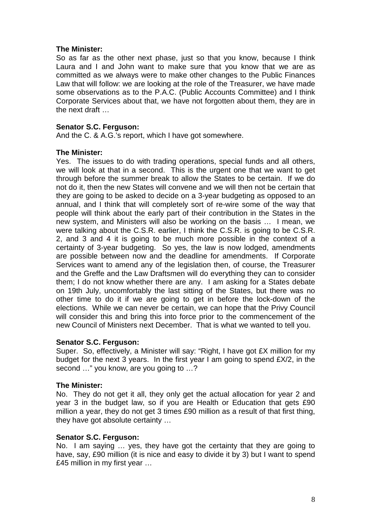## **The Minister:**

So as far as the other next phase, just so that you know, because I think Laura and I and John want to make sure that you know that we are as committed as we always were to make other changes to the Public Finances Law that will follow: we are looking at the role of the Treasurer, we have made some observations as to the P.A.C. (Public Accounts Committee) and I think Corporate Services about that, we have not forgotten about them, they are in the next draft …

## **Senator S.C. Ferguson:**

And the C. & A.G.'s report, which I have got somewhere.

#### **The Minister:**

Yes. The issues to do with trading operations, special funds and all others, we will look at that in a second. This is the urgent one that we want to get through before the summer break to allow the States to be certain. If we do not do it, then the new States will convene and we will then not be certain that they are going to be asked to decide on a 3-year budgeting as opposed to an annual, and I think that will completely sort of re-wire some of the way that people will think about the early part of their contribution in the States in the new system, and Ministers will also be working on the basis … I mean, we were talking about the C.S.R. earlier, I think the C.S.R. is going to be C.S.R. 2, and 3 and 4 it is going to be much more possible in the context of a certainty of 3-year budgeting. So yes, the law is now lodged, amendments are possible between now and the deadline for amendments. If Corporate Services want to amend any of the legislation then, of course, the Treasurer and the Greffe and the Law Draftsmen will do everything they can to consider them; I do not know whether there are any. I am asking for a States debate on 19th July, uncomfortably the last sitting of the States, but there was no other time to do it if we are going to get in before the lock-down of the elections. While we can never be certain, we can hope that the Privy Council will consider this and bring this into force prior to the commencement of the new Council of Ministers next December. That is what we wanted to tell you.

#### **Senator S.C. Ferguson:**

Super. So, effectively, a Minister will say: "Right, I have got £X million for my budget for the next 3 years. In the first year I am going to spend £X/2, in the second …" you know, are you going to …?

#### **The Minister:**

No. They do not get it all, they only get the actual allocation for year 2 and year 3 in the budget law, so if you are Health or Education that gets £90 million a year, they do not get 3 times £90 million as a result of that first thing, they have got absolute certainty …

#### **Senator S.C. Ferguson:**

No. I am saying … yes, they have got the certainty that they are going to have, say, £90 million (it is nice and easy to divide it by 3) but I want to spend £45 million in my first year …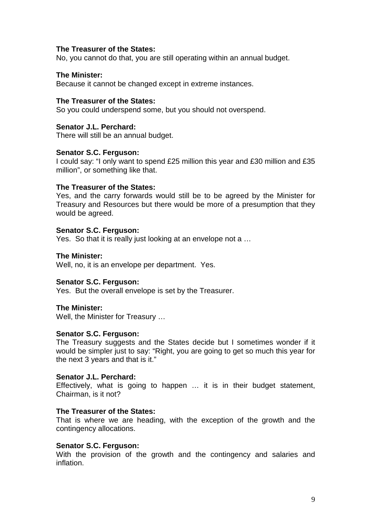#### **The Treasurer of the States:**

No, you cannot do that, you are still operating within an annual budget.

## **The Minister:**

Because it cannot be changed except in extreme instances.

#### **The Treasurer of the States:**

So you could underspend some, but you should not overspend.

#### **Senator J.L. Perchard:**

There will still be an annual budget.

#### **Senator S.C. Ferguson:**

I could say: "I only want to spend £25 million this year and £30 million and £35 million", or something like that.

#### **The Treasurer of the States:**

Yes, and the carry forwards would still be to be agreed by the Minister for Treasury and Resources but there would be more of a presumption that they would be agreed.

## **Senator S.C. Ferguson:**

Yes. So that it is really just looking at an envelope not a …

#### **The Minister:**

Well, no, it is an envelope per department. Yes.

#### **Senator S.C. Ferguson:**

Yes. But the overall envelope is set by the Treasurer.

#### **The Minister:**

Well, the Minister for Treasury …

#### **Senator S.C. Ferguson:**

The Treasury suggests and the States decide but I sometimes wonder if it would be simpler just to say: "Right, you are going to get so much this year for the next 3 years and that is it."

#### **Senator J.L. Perchard:**

Effectively, what is going to happen … it is in their budget statement, Chairman, is it not?

### **The Treasurer of the States:**

That is where we are heading, with the exception of the growth and the contingency allocations.

#### **Senator S.C. Ferguson:**

With the provision of the growth and the contingency and salaries and inflation.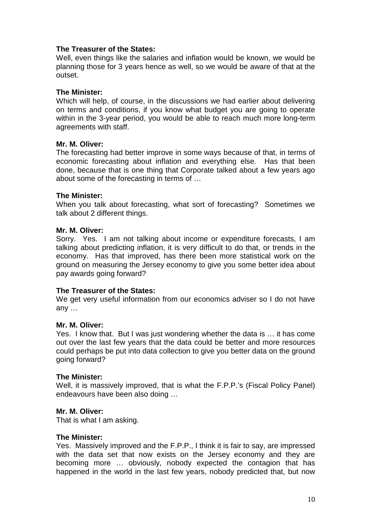## **The Treasurer of the States:**

Well, even things like the salaries and inflation would be known, we would be planning those for 3 years hence as well, so we would be aware of that at the outset.

## **The Minister:**

Which will help, of course, in the discussions we had earlier about delivering on terms and conditions, if you know what budget you are going to operate within in the 3-year period, you would be able to reach much more long-term agreements with staff.

## **Mr. M. Oliver:**

The forecasting had better improve in some ways because of that, in terms of economic forecasting about inflation and everything else. Has that been done, because that is one thing that Corporate talked about a few years ago about some of the forecasting in terms of …

## **The Minister:**

When you talk about forecasting, what sort of forecasting? Sometimes we talk about 2 different things.

## **Mr. M. Oliver:**

Sorry. Yes. I am not talking about income or expenditure forecasts, I am talking about predicting inflation, it is very difficult to do that, or trends in the economy. Has that improved, has there been more statistical work on the ground on measuring the Jersey economy to give you some better idea about pay awards going forward?

#### **The Treasurer of the States:**

We get very useful information from our economics adviser so I do not have any …

#### **Mr. M. Oliver:**

Yes. I know that. But I was just wondering whether the data is … it has come out over the last few years that the data could be better and more resources could perhaps be put into data collection to give you better data on the ground going forward?

#### **The Minister:**

Well, it is massively improved, that is what the F.P.P.'s (Fiscal Policy Panel) endeavours have been also doing …

#### **Mr. M. Oliver:**

That is what I am asking.

#### **The Minister:**

Yes. Massively improved and the F.P.P., I think it is fair to say, are impressed with the data set that now exists on the Jersey economy and they are becoming more … obviously, nobody expected the contagion that has happened in the world in the last few years, nobody predicted that, but now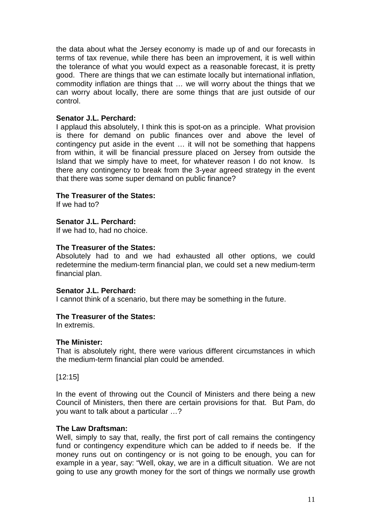the data about what the Jersey economy is made up of and our forecasts in terms of tax revenue, while there has been an improvement, it is well within the tolerance of what you would expect as a reasonable forecast, it is pretty good. There are things that we can estimate locally but international inflation, commodity inflation are things that … we will worry about the things that we can worry about locally, there are some things that are just outside of our control.

## **Senator J.L. Perchard:**

I applaud this absolutely, I think this is spot-on as a principle. What provision is there for demand on public finances over and above the level of contingency put aside in the event … it will not be something that happens from within, it will be financial pressure placed on Jersey from outside the Island that we simply have to meet, for whatever reason I do not know. Is there any contingency to break from the 3-year agreed strategy in the event that there was some super demand on public finance?

## **The Treasurer of the States:**

If we had to?

## **Senator J.L. Perchard:**

If we had to, had no choice.

#### **The Treasurer of the States:**

Absolutely had to and we had exhausted all other options, we could redetermine the medium-term financial plan, we could set a new medium-term financial plan.

#### **Senator J.L. Perchard:**

I cannot think of a scenario, but there may be something in the future.

#### **The Treasurer of the States:**

In extremis.

#### **The Minister:**

That is absolutely right, there were various different circumstances in which the medium-term financial plan could be amended.

[12:15]

In the event of throwing out the Council of Ministers and there being a new Council of Ministers, then there are certain provisions for that. But Pam, do you want to talk about a particular …?

#### **The Law Draftsman:**

Well, simply to say that, really, the first port of call remains the contingency fund or contingency expenditure which can be added to if needs be. If the money runs out on contingency or is not going to be enough, you can for example in a year, say: "Well, okay, we are in a difficult situation. We are not going to use any growth money for the sort of things we normally use growth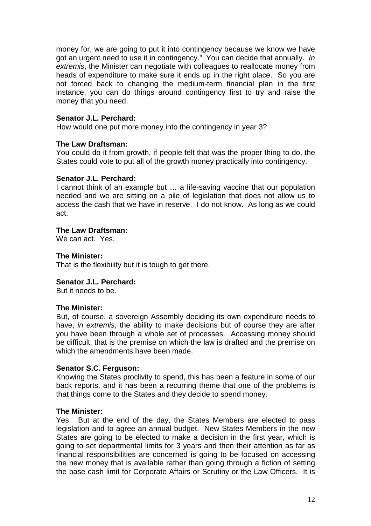money for, we are going to put it into contingency because we know we have got an urgent need to use it in contingency." You can decide that annually. In extremis, the Minister can negotiate with colleagues to reallocate money from heads of expenditure to make sure it ends up in the right place. So you are not forced back to changing the medium-term financial plan in the first instance, you can do things around contingency first to try and raise the money that you need.

## **Senator J.L. Perchard:**

How would one put more money into the contingency in year 3?

## **The Law Draftsman:**

You could do it from growth, if people felt that was the proper thing to do, the States could vote to put all of the growth money practically into contingency.

#### **Senator J.L. Perchard:**

I cannot think of an example but … a life-saving vaccine that our population needed and we are sitting on a pile of legislation that does not allow us to access the cash that we have in reserve. I do not know. As long as we could act.

## **The Law Draftsman:**

We can act. Yes.

## **The Minister:**

That is the flexibility but it is tough to get there.

## **Senator J.L. Perchard:**

But it needs to be.

#### **The Minister:**

But, of course, a sovereign Assembly deciding its own expenditure needs to have, in extremis, the ability to make decisions but of course they are after you have been through a whole set of processes. Accessing money should be difficult, that is the premise on which the law is drafted and the premise on which the amendments have been made.

#### **Senator S.C. Ferguson:**

Knowing the States proclivity to spend, this has been a feature in some of our back reports, and it has been a recurring theme that one of the problems is that things come to the States and they decide to spend money.

#### **The Minister:**

Yes. But at the end of the day, the States Members are elected to pass legislation and to agree an annual budget. New States Members in the new States are going to be elected to make a decision in the first year, which is going to set departmental limits for 3 years and then their attention as far as financial responsibilities are concerned is going to be focused on accessing the new money that is available rather than going through a fiction of setting the base cash limit for Corporate Affairs or Scrutiny or the Law Officers. It is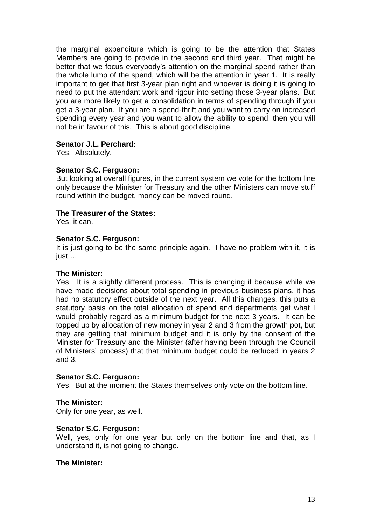the marginal expenditure which is going to be the attention that States Members are going to provide in the second and third year. That might be better that we focus everybody's attention on the marginal spend rather than the whole lump of the spend, which will be the attention in year 1. It is really important to get that first 3-year plan right and whoever is doing it is going to need to put the attendant work and rigour into setting those 3-year plans. But you are more likely to get a consolidation in terms of spending through if you get a 3-year plan. If you are a spend-thrift and you want to carry on increased spending every year and you want to allow the ability to spend, then you will not be in favour of this. This is about good discipline.

## **Senator J.L. Perchard:**

Yes. Absolutely.

## **Senator S.C. Ferguson:**

But looking at overall figures, in the current system we vote for the bottom line only because the Minister for Treasury and the other Ministers can move stuff round within the budget, money can be moved round.

## **The Treasurer of the States:**

Yes, it can.

## **Senator S.C. Ferguson:**

It is just going to be the same principle again. I have no problem with it, it is just …

#### **The Minister:**

Yes. It is a slightly different process. This is changing it because while we have made decisions about total spending in previous business plans, it has had no statutory effect outside of the next year. All this changes, this puts a statutory basis on the total allocation of spend and departments get what I would probably regard as a minimum budget for the next 3 years. It can be topped up by allocation of new money in year 2 and 3 from the growth pot, but they are getting that minimum budget and it is only by the consent of the Minister for Treasury and the Minister (after having been through the Council of Ministers' process) that that minimum budget could be reduced in years 2 and 3.

#### **Senator S.C. Ferguson:**

Yes. But at the moment the States themselves only vote on the bottom line.

## **The Minister:**

Only for one year, as well.

## **Senator S.C. Ferguson:**

Well, yes, only for one year but only on the bottom line and that, as I understand it, is not going to change.

## **The Minister:**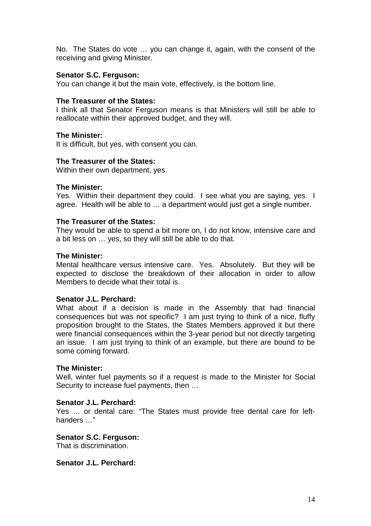No. The States do vote … you can change it, again, with the consent of the receiving and giving Minister.

## **Senator S.C. Ferguson:**

You can change it but the main vote, effectively, is the bottom line.

## **The Treasurer of the States:**

I think all that Senator Ferguson means is that Ministers will still be able to reallocate within their approved budget, and they will.

#### **The Minister:**

It is difficult, but yes, with consent you can.

#### **The Treasurer of the States:**

Within their own department, yes.

#### **The Minister:**

Yes. Within their department they could. I see what you are saying, yes. I agree. Health will be able to … a department would just get a single number.

#### **The Treasurer of the States:**

They would be able to spend a bit more on, I do not know, intensive care and a bit less on … yes, so they will still be able to do that.

#### **The Minister:**

Mental healthcare versus intensive care. Yes. Absolutely. But they will be expected to disclose the breakdown of their allocation in order to allow Members to decide what their total is.

## **Senator J.L. Perchard:**

What about if a decision is made in the Assembly that had financial consequences but was not specific? I am just trying to think of a nice, fluffy proposition brought to the States, the States Members approved it but there were financial consequences within the 3-year period but not directly targeting an issue. I am just trying to think of an example, but there are bound to be some coming forward.

#### **The Minister:**

Well, winter fuel payments so if a request is made to the Minister for Social Security to increase fuel payments, then …

#### **Senator J.L. Perchard:**

Yes … or dental care: "The States must provide free dental care for lefthanders …"

#### **Senator S.C. Ferguson:**

That is discrimination.

## **Senator J.L. Perchard:**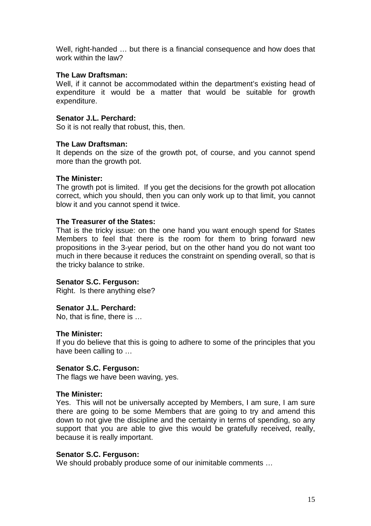Well, right-handed … but there is a financial consequence and how does that work within the law?

## **The Law Draftsman:**

Well, if it cannot be accommodated within the department's existing head of expenditure it would be a matter that would be suitable for growth expenditure.

## **Senator J.L. Perchard:**

So it is not really that robust, this, then.

#### **The Law Draftsman:**

It depends on the size of the growth pot, of course, and you cannot spend more than the growth pot.

#### **The Minister:**

The growth pot is limited. If you get the decisions for the growth pot allocation correct, which you should, then you can only work up to that limit, you cannot blow it and you cannot spend it twice.

#### **The Treasurer of the States:**

That is the tricky issue: on the one hand you want enough spend for States Members to feel that there is the room for them to bring forward new propositions in the 3-year period, but on the other hand you do not want too much in there because it reduces the constraint on spending overall, so that is the tricky balance to strike.

#### **Senator S.C. Ferguson:**

Right. Is there anything else?

#### **Senator J.L. Perchard:**

No, that is fine, there is …

#### **The Minister:**

If you do believe that this is going to adhere to some of the principles that you have been calling to …

#### **Senator S.C. Ferguson:**

The flags we have been waving, yes.

#### **The Minister:**

Yes. This will not be universally accepted by Members, I am sure, I am sure there are going to be some Members that are going to try and amend this down to not give the discipline and the certainty in terms of spending, so any support that you are able to give this would be gratefully received, really, because it is really important.

#### **Senator S.C. Ferguson:**

We should probably produce some of our inimitable comments …